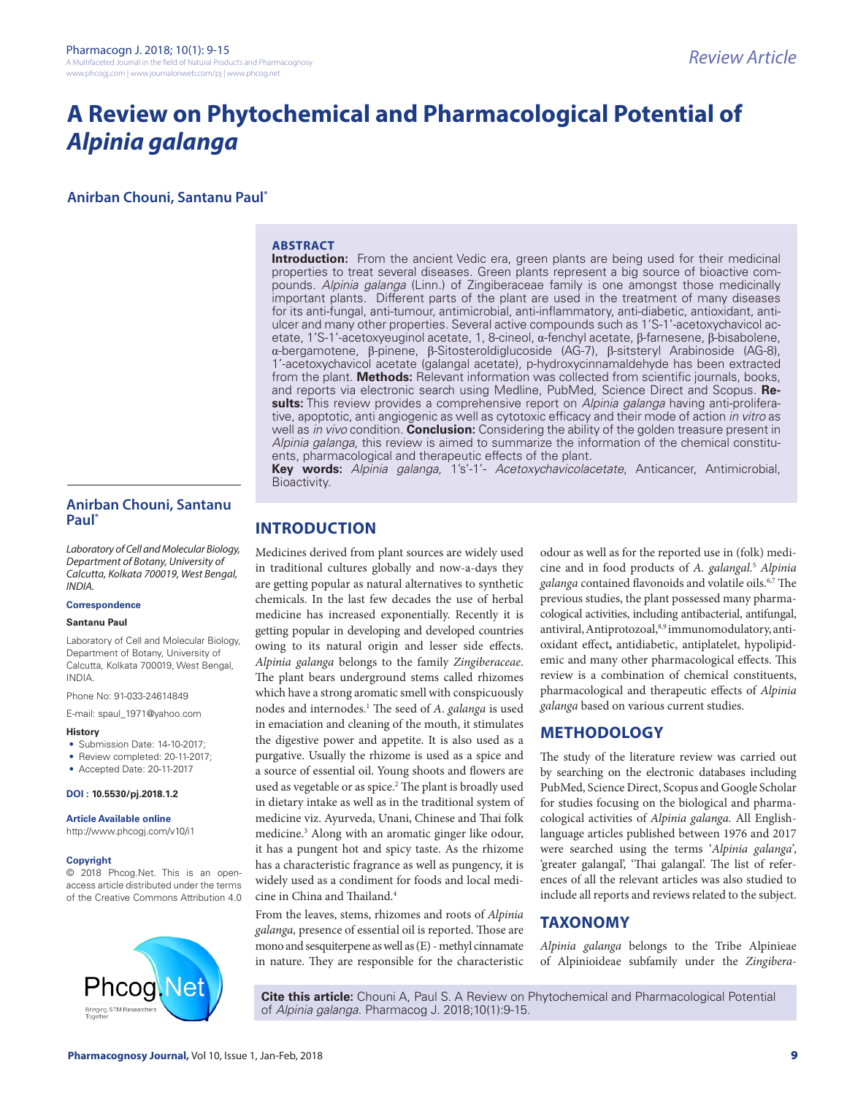# **A Review on Phytochemical and Pharmacological Potential of**  *Alpinia galanga*

**Anirban Chouni, Santanu Paul\***

# **ABSTRACT**

**Introduction:** From the ancient Vedic era, green plants are being used for their medicinal properties to treat several diseases. Green plants represent a big source of bioactive compounds. *Alpinia galanga* (Linn.) of Zingiberaceae family is one amongst those medicinally important plants. Different parts of the plant are used in the treatment of many diseases for its anti-fungal, anti-tumour, antimicrobial, anti-inflammatory, anti-diabetic, antioxidant, antiulcer and many other properties. Several active compounds such as 1'S-1'-acetoxychavicol acetate, 1'S-1'-acetoxyeuginol acetate, 1, 8-cineol, α-fenchyl acetate, β-farnesene, β-bisabolene, α-bergamotene, β-pinene, β-Sitosteroldiglucoside (AG-7), β-sitsteryl Arabinoside (AG-8), 1'-acetoxychavicol acetate (galangal acetate), p-hydroxycinnamaldehyde has been extracted from the plant. **Methods:** Relevant information was collected from scientific journals, books, and reports via electronic search using Medline, PubMed, Science Direct and Scopus. **Results:** This review provides a comprehensive report on *Alpinia galanga* having anti-proliferative, apoptotic, anti angiogenic as well as cytotoxic efficacy and their mode of action *in vitro* as well as *in vivo* condition. **Conclusion:** Considering the ability of the golden treasure present in *Alpinia galanga*, this review is aimed to summarize the information of the chemical constituents, pharmacological and therapeutic effects of the plant.

**Key words:** *Alpinia galanga,* 1's'-1'- *Acetoxychavicolacetate*, Anticancer, Antimicrobial, Bioactivity.

# **Anirban Chouni, Santanu Paul\***

*Laboratory of Cell and Molecular Biology, Department of Botany, University of Calcutta, Kolkata 700019, West Bengal, INDIA.*

#### **Correspondence**

#### **Santanu Paul**

Laboratory of Cell and Molecular Biology, Department of Botany, University of Calcutta, Kolkata 700019, West Bengal, INDIA.

Phone No: 91-033-24614849

E-mail: spaul\_1971@yahoo.com

- **History**
- Submission Date: 14-10-2017;
- Review completed: 20-11-2017:
- Accepted Date: 20-11-2017

**DOI : 10.5530/pj.2018.1.2**

**Article Available online**

http://www.phcogj.com/v10/i1

#### **Copyright**

© 2018 Phcog.Net. This is an openaccess article distributed under the terms of the Creative Commons Attribution 4.0



# **INTRODUCTION**

Medicines derived from plant sources are widely used in traditional cultures globally and now-a-days they are getting popular as natural alternatives to synthetic chemicals. In the last few decades the use of herbal medicine has increased exponentially. Recently it is getting popular in developing and developed countries owing to its natural origin and lesser side effects. *Alpinia galanga* belongs to the family *Zingiberaceae*. The plant bears underground stems called rhizomes which have a strong aromatic smell with conspicuously nodes and internodes.1 The seed of *A*. *galanga* is used in emaciation and cleaning of the mouth, it stimulates the digestive power and appetite. It is also used as a purgative. Usually the rhizome is used as a spice and a source of essential oil. Young shoots and flowers are used as vegetable or as spice.<sup>2</sup> The plant is broadly used in dietary intake as well as in the traditional system of medicine viz. Ayurveda, Unani, Chinese and Thai folk medicine.<sup>3</sup> Along with an aromatic ginger like odour, it has a pungent hot and spicy taste. As the rhizome has a characteristic fragrance as well as pungency, it is widely used as a condiment for foods and local medicine in China and Thailand.4

From the leaves, stems, rhizomes and roots of *Alpinia galanga,* presence of essential oil is reported. Those are mono and sesquiterpene as well as (E) - methyl cinnamate in nature. They are responsible for the characteristic

odour as well as for the reported use in (folk) medicine and in food products of *A. galangal.*<sup>5</sup> *Alpinia galanga* contained flavonoids and volatile oils.6,7 The previous studies, the plant possessed many pharmacological activities, including antibacterial, antifungal, antiviral, Antiprotozoal,8,9 immunomodulatory, antioxidant effect**,** antidiabetic, antiplatelet, hypolipidemic and many other pharmacological effects. This review is a combination of chemical constituents, pharmacological and therapeutic effects of *Alpinia galanga* based on various current studies.

# **METHODOLOGY**

The study of the literature review was carried out by searching on the electronic databases including PubMed, Science Direct, Scopus and Google Scholar for studies focusing on the biological and pharmacological activities of *Alpinia galanga.* All Englishlanguage articles published between 1976 and 2017 were searched using the terms '*Alpinia galanga'*, 'greater galangal', 'Thai galangal'. The list of references of all the relevant articles was also studied to include all reports and reviews related to the subject.

# **TAXONOMY**

*Alpinia galanga* belongs to the Tribe Alpinieae of Alpinioideae subfamily under the *Zingibera*

**Cite this article:** Chouni A, Paul S. A Review on Phytochemical and Pharmacological Potential of *Alpinia galanga*. Pharmacog J. 2018;10(1):9-15.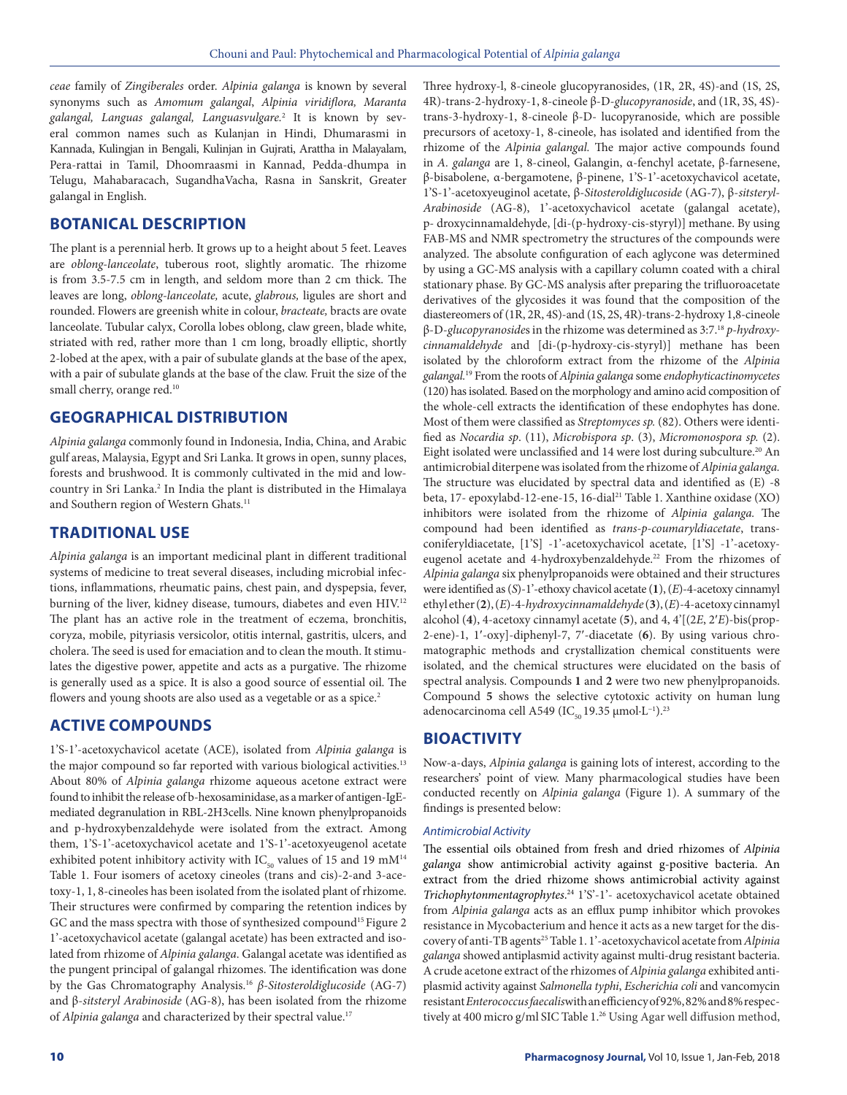*ceae* family of *Zingiberales* order. *Alpinia galanga* is known by several synonyms such as *Amomum galangal*, *Alpinia viridiflora, Maranta galangal, Languas galangal, Languasvulgare.*<sup>2</sup> It is known by several common names such as Kulanjan in Hindi, Dhumarasmi in Kannada, Kulingjan in Bengali, Kulinjan in Gujrati, Arattha in Malayalam, Pera-rattai in Tamil, Dhoomraasmi in Kannad, Pedda-dhumpa in Telugu, Mahabaracach, SugandhaVacha, Rasna in Sanskrit, Greater galangal in English.

# **BOTANICAL DESCRIPTION**

The plant is a perennial herb. It grows up to a height about 5 feet. Leaves are *oblong-lanceolate*, tuberous root, slightly aromatic. The rhizome is from 3.5-7.5 cm in length, and seldom more than 2 cm thick. The leaves are long, *oblong-lanceolate,* acute, *glabrous,* ligules are short and rounded. Flowers are greenish white in colour, *bracteate,* bracts are ovate lanceolate. Tubular calyx, Corolla lobes oblong, claw green, blade white, striated with red, rather more than 1 cm long, broadly elliptic, shortly 2-lobed at the apex, with a pair of subulate glands at the base of the apex, with a pair of subulate glands at the base of the claw. Fruit the size of the small cherry, orange red.<sup>10</sup>

# **GEOGRAPHICAL DISTRIBUTION**

*Alpinia galanga* commonly found in Indonesia, India, China, and Arabic gulf areas, Malaysia, Egypt and Sri Lanka. It grows in open, sunny places, forests and brushwood. It is commonly cultivated in the mid and lowcountry in Sri Lanka.<sup>2</sup> In India the plant is distributed in the Himalaya and Southern region of Western Ghats.<sup>11</sup>

# **TRADITIONAL USE**

*Alpinia galanga* is an important medicinal plant in different traditional systems of medicine to treat several diseases, including microbial infections, inflammations, rheumatic pains, chest pain, and dyspepsia, fever, burning of the liver, kidney disease, tumours, diabetes and even HIV.<sup>12</sup> The plant has an active role in the treatment of eczema, bronchitis, coryza, mobile, pityriasis versicolor, otitis internal, gastritis, ulcers, and cholera. The seed is used for emaciation and to clean the mouth. It stimulates the digestive power, appetite and acts as a purgative. The rhizome is generally used as a spice. It is also a good source of essential oil. The flowers and young shoots are also used as a vegetable or as a spice.<sup>2</sup>

# **ACTIVE COMPOUNDS**

1'S-1'-acetoxychavicol acetate (ACE), isolated from *Alpinia galanga* is the major compound so far reported with various biological activities.<sup>13</sup> About 80% of *Alpinia galanga* rhizome aqueous acetone extract were found to inhibit the release of b-hexosaminidase, as a marker of antigen-IgEmediated degranulation in RBL-2H3cells. Nine known phenylpropanoids and p-hydroxybenzaldehyde were isolated from the extract. Among them, 1'S-1'-acetoxychavicol acetate and 1'S-1'-acetoxyeugenol acetate exhibited potent inhibitory activity with  $IC_{50}$  values of 15 and 19 mM<sup>14</sup> Table 1. Four isomers of acetoxy cineoles (trans and cis)-2-and 3-acetoxy-1, 1, 8-cineoles has been isolated from the isolated plant of rhizome. Their structures were confirmed by comparing the retention indices by GC and the mass spectra with those of synthesized compound<sup>15</sup> Figure 2 1'-acetoxychavicol acetate (galangal acetate) has been extracted and isolated from rhizome of *Alpinia galanga*. Galangal acetate was identified as the pungent principal of galangal rhizomes. The identification was done by the Gas Chromatography Analysis.16 *β-Sitosteroldiglucoside* (AG-7) and β-*sitsteryl Arabinoside* (AG-8), has been isolated from the rhizome of *Alpinia galanga* and characterized by their spectral value.17

Three hydroxy-l, 8-cineole glucopyranosides, (1R, 2R, 4S)-and (1S, 2S, 4R)-trans-2-hydroxy-1, 8-cineole β-D-*glucopyranoside*, and (1R, 3S, 4S) trans-3-hydroxy-1, 8-cineole β-D- lucopyranoside, which are possible precursors of acetoxy-1, 8-cineole, has isolated and identified from the rhizome of the *Alpinia galangal.* The major active compounds found in *A. galanga* are 1, 8-cineol, Galangin, α-fenchyl acetate, β-farnesene, β-bisabolene, α-bergamotene, β-pinene, 1'S-1'-acetoxychavicol acetate, 1'S-1'-acetoxyeuginol acetate, β-*Sitosteroldiglucoside* (AG-7), β-*sitsteryl-Arabinoside* (AG-8), 1'-acetoxychavicol acetate (galangal acetate), p- droxycinnamaldehyde, [di-(p-hydroxy-cis-styryl)] methane. By using FAB-MS and NMR spectrometry the structures of the compounds were analyzed. The absolute configuration of each aglycone was determined by using a GC-MS analysis with a capillary column coated with a chiral stationary phase. By GC-MS analysis after preparing the trifluoroacetate derivatives of the glycosides it was found that the composition of the diastereomers of (1R, 2R, 4S)-and (1S, 2S, 4R)-trans-2-hydroxy 1,8-cineole β-D-*glucopyranoside*s in the rhizome was determined as 3:7.18 *p-hydroxycinnamaldehyde* and [di-(p-hydroxy-cis-styryl)] methane has been isolated by the chloroform extract from the rhizome of the *Alpinia galangal.*19 From the roots of *Alpinia galanga* some *endophyticactinomycetes* (120) has isolated. Based on the morphology and amino acid composition of the whole-cell extracts the identification of these endophytes has done. Most of them were classified as *Streptomyces sp.* (82). Others were identified as *Nocardia sp*. (11), *Microbispora sp*. (3), *Micromonospora sp.* (2). Eight isolated were unclassified and 14 were lost during subculture.<sup>20</sup> An antimicrobial diterpene was isolated from the rhizome of *Alpinia galanga.*  The structure was elucidated by spectral data and identified as (E) -8 beta, 17- epoxylabd-12-ene-15, 16-dial<sup>21</sup> Table 1. Xanthine oxidase (XO) inhibitors were isolated from the rhizome of *Alpinia galanga.* The compound had been identified as *trans-p-coumaryldiacetate*, transconiferyldiacetate, [1'S] -1'-acetoxychavicol acetate, [1'S] -1'-acetoxyeugenol acetate and 4-hydroxybenzaldehyde.<sup>22</sup> From the rhizomes of *Alpinia galanga* six phenylpropanoids were obtained and their structures were identified as (*S*)-1'-ethoxy chavicol acetate (**1**), (*E*)-4-acetoxy cinnamyl ethyl ether (**2**), (*E*)-4-*hydroxycinnamaldehyde* (**3**), (*E*)-4-acetoxy cinnamyl alcohol (**4**), 4-acetoxy cinnamyl acetate (**5**), and 4, 4'[(2*E*, 2′*E*)-bis(prop-2-ene)-1, 1′-oxy]-diphenyl-7, 7′-diacetate (**6**). By using various chromatographic methods and crystallization chemical constituents were isolated, and the chemical structures were elucidated on the basis of spectral analysis. Compounds **1** and **2** were two new phenylpropanoids. Compound 5 shows the selective cytotoxic activity on human lung adenocarcinoma cell A549 (IC<sub>50</sub> 19.35 μmol·L<sup>-1</sup>).<sup>23</sup>

# **BIOACTIVITY**

Now-a-days, *Alpinia galanga* is gaining lots of interest, according to the researchers' point of view. Many pharmacological studies have been conducted recently on *Alpinia galanga* (Figure 1). A summary of the findings is presented below:

#### *Antimicrobial Activity*

The essential oils obtained from fresh and dried rhizomes of *Alpinia galanga* show antimicrobial activity against g-positive bacteria. An extract from the dried rhizome shows antimicrobial activity against *Trichophytonmentagrophytes*. <sup>24</sup> 1'S'-1'- acetoxychavicol acetate obtained from *Alpinia galanga* acts as an efflux pump inhibitor which provokes resistance in Mycobacterium and hence it acts as a new target for the discovery of anti-TB agents25 Table 1. 1'-acetoxychavicol acetate from *Alpinia galanga* showed antiplasmid activity against multi-drug resistant bacteria. A crude acetone extract of the rhizomes of *Alpinia galanga* exhibited antiplasmid activity against *Salmonella typhi*, *Escherichia coli* and vancomycin resistant *Enterococcus faecalis*with an efficiency of 92%, 82% and 8% respectively at 400 micro g/ml SIC Table 1.<sup>26</sup> Using Agar well diffusion method,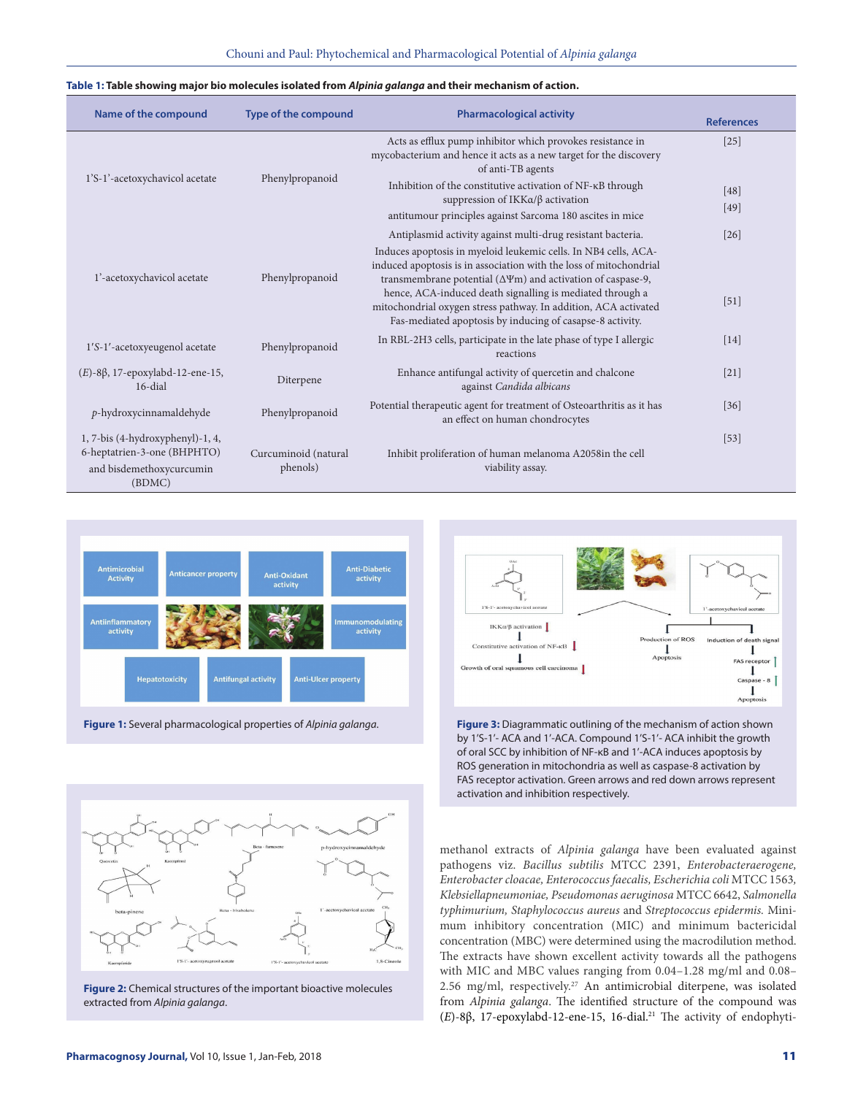#### **Table 1: Table showing major bio molecules isolated from** *Alpinia galanga* **and their mechanism of action.**

| Name of the compound                                                                                  | <b>Type of the compound</b>      | <b>Pharmacological activity</b>                                                                                                                                                                                                                                                                                                                                                                                                                                              | <b>References</b> |
|-------------------------------------------------------------------------------------------------------|----------------------------------|------------------------------------------------------------------------------------------------------------------------------------------------------------------------------------------------------------------------------------------------------------------------------------------------------------------------------------------------------------------------------------------------------------------------------------------------------------------------------|-------------------|
| 1'S-1'-acetoxychavicol acetate                                                                        | Phenylpropanoid                  | Acts as efflux pump inhibitor which provokes resistance in<br>mycobacterium and hence it acts as a new target for the discovery<br>of anti-TB agents                                                                                                                                                                                                                                                                                                                         | $[25]$            |
|                                                                                                       |                                  | Inhibition of the constitutive activation of NF-KB through<br>suppression of $IKKa/\beta$ activation<br>antitumour principles against Sarcoma 180 ascites in mice                                                                                                                                                                                                                                                                                                            | [48]<br>$[49]$    |
| 1'-acetoxychavicol acetate                                                                            | Phenylpropanoid                  | Antiplasmid activity against multi-drug resistant bacteria.<br>Induces apoptosis in myeloid leukemic cells. In NB4 cells, ACA-<br>induced apoptosis is in association with the loss of mitochondrial<br>transmembrane potential ( $\Delta \Psi$ m) and activation of caspase-9,<br>hence, ACA-induced death signalling is mediated through a<br>mitochondrial oxygen stress pathway. In addition, ACA activated<br>Fas-mediated apoptosis by inducing of casapse-8 activity. | $[26]$<br>[51]    |
| 1'S-1'-acetoxyeugenol acetate                                                                         | Phenylpropanoid                  | In RBL-2H3 cells, participate in the late phase of type I allergic<br>reactions                                                                                                                                                                                                                                                                                                                                                                                              | [14]              |
| $(E)$ -8 $\beta$ , 17-epoxylabd-12-ene-15,<br>16-dial                                                 | Diterpene                        | Enhance antifungal activity of quercetin and chalcone<br>against Candida albicans                                                                                                                                                                                                                                                                                                                                                                                            | $[21]$            |
| $p$ -hydroxycinnamaldehyde                                                                            | Phenylpropanoid                  | Potential therapeutic agent for treatment of Osteoarthritis as it has<br>an effect on human chondrocytes                                                                                                                                                                                                                                                                                                                                                                     | $[36]$            |
| 1, 7-bis (4-hydroxyphenyl)-1, 4,<br>6-heptatrien-3-one (BHPHTO)<br>and bisdemethoxycurcumin<br>(BDMC) | Curcuminoid (natural<br>phenols) | Inhibit proliferation of human melanoma A2058in the cell<br>viability assay.                                                                                                                                                                                                                                                                                                                                                                                                 | $[53]$            |



**Figure 1:** Several pharmacological properties of *Alpinia galanga*.



**Figure 2:** Chemical structures of the important bioactive molecules extracted from *Alpinia galanga*.



**Figure 3:** Diagrammatic outlining of the mechanism of action shown by 1'S-1'- ACA and 1'-ACA. Compound 1'S-1'- ACA inhibit the growth of oral SCC by inhibition of NF-κB and 1'-ACA induces apoptosis by ROS generation in mitochondria as well as caspase-8 activation by FAS receptor activation. Green arrows and red down arrows represent activation and inhibition respectively.

methanol extracts of *Alpinia galanga* have been evaluated against pathogens viz. *Bacillus subtilis* MTCC 2391, *Enterobacteraerogene, Enterobacter cloacae, Enterococcus faecalis, Escherichia coli* MTCC 1563*, Klebsiellapneumoniae, Pseudomonas aeruginosa* MTCC 6642, *Salmonella typhimurium, Staphylococcus aureus* and *Streptococcus epidermis.* Minimum inhibitory concentration (MIC) and minimum bactericidal concentration (MBC) were determined using the macrodilution method. The extracts have shown excellent activity towards all the pathogens with MIC and MBC values ranging from 0.04–1.28 mg/ml and 0.08– 2.56 mg/ml, respectively.<sup>27</sup> An antimicrobial diterpene, was isolated from *Alpinia galanga*. The identified structure of the compound was (E)-8β, 17-epoxylabd-12-ene-15, 16-dial.<sup>21</sup> The activity of endophyti-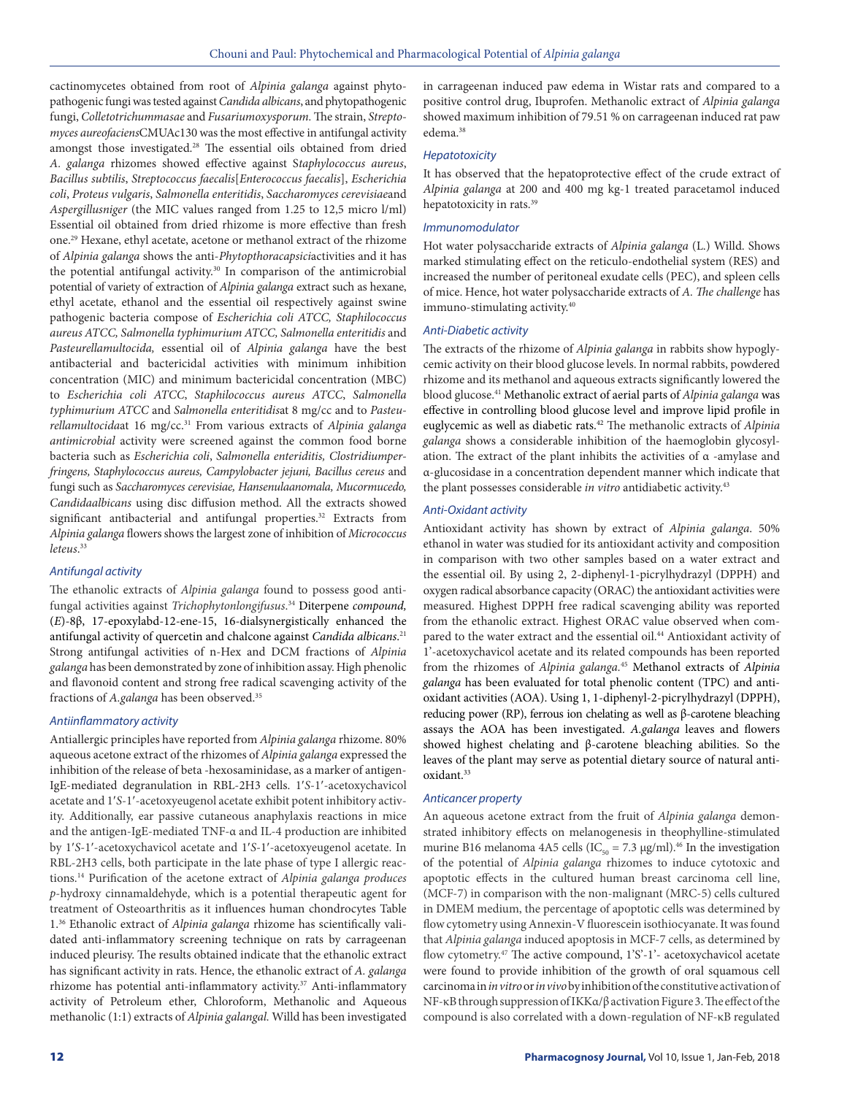cactinomycetes obtained from root of *Alpinia galanga* against phytopathogenic fungi was tested against *Candida albicans*, and phytopathogenic fungi, *Colletotrichummasae* and *Fusariumoxysporum.* The strain, *Streptomyces aureofaciens*CMUAc130 was the most effective in antifungal activity amongst those investigated.<sup>28</sup> The essential oils obtained from dried *A. galanga* rhizomes showed effective against S*taphylococcus aureus*, *Bacillus subtilis*, *Streptococcus faecalis*[*Enterococcus faecalis*], *Escherichia coli*, *Proteus vulgaris*, *Salmonella enteritidis*, *Saccharomyces cerevisiae*and *Aspergillusniger* (the MIC values ranged from 1.25 to 12,5 micro l/ml) Essential oil obtained from dried rhizome is more effective than fresh one.29 Hexane, ethyl acetate, acetone or methanol extract of the rhizome of *Alpinia galanga* shows the anti-*Phytopthoracapsici*activities and it has the potential antifungal activity.<sup>30</sup> In comparison of the antimicrobial potential of variety of extraction of *Alpinia galanga* extract such as hexane, ethyl acetate, ethanol and the essential oil respectively against swine pathogenic bacteria compose of *Escherichia coli ATCC, Staphilococcus aureus ATCC, Salmonella typhimurium ATCC, Salmonella enteritidis* and *Pasteurellamultocida,* essential oil of *Alpinia galanga* have the best antibacterial and bactericidal activities with minimum inhibition concentration (MIC) and minimum bactericidal concentration (MBC) to *Escherichia coli ATCC*, *Staphilococcus aureus ATCC*, *Salmonella typhimurium ATCC* and *Salmonella enteritidis*at 8 mg/cc and to *Pasteurellamultocida*at 16 mg/cc.31 From various extracts of *Alpinia galanga antimicrobial* activity were screened against the common food borne bacteria such as *Escherichia coli*, *Salmonella enteriditis, Clostridiumperfringens, Staphylococcus aureus, Campylobacter jejuni, Bacillus cereus* and fungi such as *Saccharomyces cerevisiae, Hansenulaanomala, Mucormucedo, Candidaalbicans* using disc diffusion method. All the extracts showed significant antibacterial and antifungal properties.<sup>32</sup> Extracts from *Alpinia galanga* flowers shows the largest zone of inhibition of *Micrococcus leteus*. 33

### *Antifungal activity*

The ethanolic extracts of *Alpinia galanga* found to possess good antifungal activities against *Trichophytonlongifusus*. <sup>34</sup> Diterpene *compound,*  (*E*)-8β, 17-epoxylabd-12-ene-15, 16-dialsynergistically enhanced the antifungal activity of quercetin and chalcone against *Candida albicans*. 21 Strong antifungal activities of n-Hex and DCM fractions of *Alpinia galanga* has been demonstrated by zone of inhibition assay. High phenolic and flavonoid content and strong free radical scavenging activity of the fractions of *A.galanga* has been observed.35

# *Antiinflammatory activity*

Antiallergic principles have reported from *Alpinia galanga* rhizome. 80% aqueous acetone extract of the rhizomes of *Alpinia galanga* expressed the inhibition of the release of beta -hexosaminidase, as a marker of antigen-IgE-mediated degranulation in RBL-2H3 cells. 1′*S*-1′-acetoxychavicol acetate and 1′*S*-1′-acetoxyeugenol acetate exhibit potent inhibitory activity. Additionally, ear passive cutaneous anaphylaxis reactions in mice and the antigen-IgE-mediated TNF-α and IL-4 production are inhibited by 1′*S*-1′-acetoxychavicol acetate and 1′*S*-1′-acetoxyeugenol acetate. In RBL-2H3 cells, both participate in the late phase of type I allergic reactions.14 Purification of the acetone extract of *Alpinia galanga produces p*-hydroxy cinnamaldehyde, which is a potential therapeutic agent for treatment of Osteoarthritis as it influences human chondrocytes Table 1.36 Ethanolic extract of *Alpinia galanga* rhizome has scientifically validated anti-inflammatory screening technique on rats by carrageenan induced pleurisy. The results obtained indicate that the ethanolic extract has significant activity in rats. Hence, the ethanolic extract of *A. galanga* rhizome has potential anti-inflammatory activity.<sup>37</sup> Anti-inflammatory activity of Petroleum ether, Chloroform, Methanolic and Aqueous methanolic (1:1) extracts of *Alpinia galangal.* Willd has been investigated in carrageenan induced paw edema in Wistar rats and compared to a positive control drug, Ibuprofen. Methanolic extract of *Alpinia galanga* showed maximum inhibition of 79.51 % on carrageenan induced rat paw edema.<sup>38</sup>

#### *Hepatotoxicity*

It has observed that the hepatoprotective effect of the crude extract of *Alpinia galanga* at 200 and 400 mg kg-1 treated paracetamol induced hepatotoxicity in rats.39

### *Immunomodulator*

Hot water polysaccharide extracts of *Alpinia galanga* (L.) Willd. Shows marked stimulating effect on the reticulo-endothelial system (RES) and increased the number of peritoneal exudate cells (PEC), and spleen cells of mice. Hence, hot water polysaccharide extracts of *A. The challenge* has immuno-stimulating activity.<sup>40</sup>

#### *Anti-Diabetic activity*

The extracts of the rhizome of *Alpinia galanga* in rabbits show hypoglycemic activity on their blood glucose levels. In normal rabbits, powdered rhizome and its methanol and aqueous extracts significantly lowered the blood glucose.41 Methanolic extract of aerial parts of *Alpinia galanga* was effective in controlling blood glucose level and improve lipid profile in euglycemic as well as diabetic rats.42 The methanolic extracts of *Alpinia galanga* shows a considerable inhibition of the haemoglobin glycosylation. The extract of the plant inhibits the activities of  $\alpha$  -amylase and α-glucosidase in a concentration dependent manner which indicate that the plant possesses considerable *in vitro* antidiabetic activity.43

#### *Anti-Oxidant activity*

Antioxidant activity has shown by extract of *Alpinia galanga*. 50% ethanol in water was studied for its antioxidant activity and composition in comparison with two other samples based on a water extract and the essential oil. By using 2, 2-diphenyl-1-picrylhydrazyl (DPPH) and oxygen radical absorbance capacity (ORAC) the antioxidant activities were measured. Highest DPPH free radical scavenging ability was reported from the ethanolic extract. Highest ORAC value observed when compared to the water extract and the essential oil.<sup>44</sup> Antioxidant activity of 1'-acetoxychavicol acetate and its related compounds has been reported from the rhizomes of *Alpinia galanga.*<sup>45</sup> Methanol extracts of *Alpinia galanga* has been evaluated for total phenolic content (TPC) and antioxidant activities (AOA). Using 1, 1-diphenyl-2-picrylhydrazyl (DPPH), reducing power (RP), ferrous ion chelating as well as β-carotene bleaching assays the AOA has been investigated. *A.galanga* leaves and flowers showed highest chelating and β-carotene bleaching abilities. So the leaves of the plant may serve as potential dietary source of natural antioxidant.<sup>33</sup>

#### *Anticancer property*

An aqueous acetone extract from the fruit of *Alpinia galanga* demonstrated inhibitory effects on melanogenesis in theophylline-stimulated murine B16 melanoma 4A5 cells (IC<sub>50</sub> = 7.3 µg/ml).<sup>46</sup> In the investigation of the potential of *Alpinia galanga* rhizomes to induce cytotoxic and apoptotic effects in the cultured human breast carcinoma cell line, (MCF-7) in comparison with the non-malignant (MRC-5) cells cultured in DMEM medium, the percentage of apoptotic cells was determined by flow cytometry using Annexin-V fluorescein isothiocyanate. It was found that *Alpinia galanga* induced apoptosis in MCF-7 cells, as determined by flow cytometry.<sup>47</sup> The active compound, 1'S'-1'- acetoxychavicol acetate were found to provide inhibition of the growth of oral squamous cell carcinoma in *in vitro* or *in vivo* by inhibition of the constitutive activation of NF-κB through suppression of IKKα/β activation Figure 3. The effect of the compound is also correlated with a down-regulation of NF-κB regulated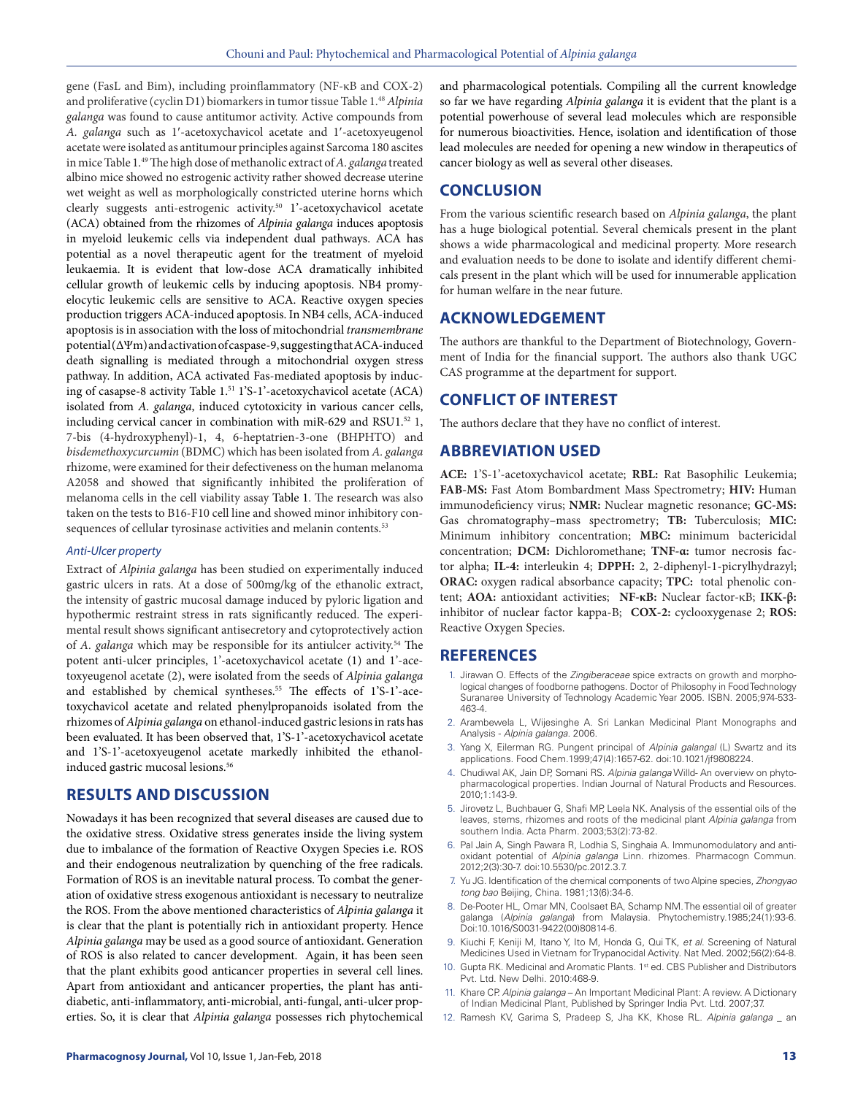gene (FasL and Bim), including proinflammatory (NF-κB and COX-2) and proliferative (cyclin D1) biomarkers in tumor tissue Table 1.48*Alpinia galanga* was found to cause antitumor activity. Active compounds from *A. galanga* such as 1′-acetoxychavicol acetate and 1′-acetoxyeugenol acetate were isolated as antitumour principles against Sarcoma 180 ascites in mice Table 1.49 The high dose of methanolic extract of *A. galanga* treated albino mice showed no estrogenic activity rather showed decrease uterine wet weight as well as morphologically constricted uterine horns which clearly suggests anti-estrogenic activity.<sup>50</sup> 1'-acetoxychavicol acetate (ACA) obtained from the rhizomes of *Alpinia galanga* induces apoptosis in myeloid leukemic cells via independent dual pathways. ACA has potential as a novel therapeutic agent for the treatment of myeloid leukaemia. It is evident that low-dose ACA dramatically inhibited cellular growth of leukemic cells by inducing apoptosis. NB4 promyelocytic leukemic cells are sensitive to ACA. Reactive oxygen species production triggers ACA-induced apoptosis. In NB4 cells, ACA-induced apoptosis is in association with the loss of mitochondrial *transmembrane* potential (ΔΨm) and activation of caspase-9, suggesting that ACA-induced death signalling is mediated through a mitochondrial oxygen stress pathway. In addition, ACA activated Fas-mediated apoptosis by inducing of casapse-8 activity Table 1.51 1'S-1'-acetoxychavicol acetate (ACA) isolated from *A. galanga*, induced cytotoxicity in various cancer cells, including cervical cancer in combination with miR-629 and RSU1.<sup>52</sup> 1, 7-bis (4-hydroxyphenyl)-1, 4, 6-heptatrien-3-one (BHPHTO) and *bisdemethoxycurcumin* (BDMC) which has been isolated from *A. galanga* rhizome, were examined for their defectiveness on the human melanoma A2058 and showed that significantly inhibited the proliferation of melanoma cells in the cell viability assay Table 1. The research was also taken on the tests to B16-F10 cell line and showed minor inhibitory consequences of cellular tyrosinase activities and melanin contents.<sup>53</sup>

#### *Anti-Ulcer property*

Extract of *Alpinia galanga* has been studied on experimentally induced gastric ulcers in rats. At a dose of 500mg/kg of the ethanolic extract, the intensity of gastric mucosal damage induced by pyloric ligation and hypothermic restraint stress in rats significantly reduced. The experimental result shows significant antisecretory and cytoprotectively action of *A. galanga* which may be responsible for its antiulcer activity.54 The potent anti-ulcer principles, 1'-acetoxychavicol acetate (1) and 1'-acetoxyeugenol acetate (2), were isolated from the seeds of *Alpinia galanga* and established by chemical syntheses.<sup>55</sup> The effects of 1'S-1'-acetoxychavicol acetate and related phenylpropanoids isolated from the rhizomes of *Alpinia galanga* on ethanol-induced gastric lesions in rats has been evaluated. It has been observed that, 1'S-1'-acetoxychavicol acetate and 1'S-1'-acetoxyeugenol acetate markedly inhibited the ethanolinduced gastric mucosal lesions.<sup>56</sup>

# **RESULTS AND DISCUSSION**

Nowadays it has been recognized that several diseases are caused due to the oxidative stress. Oxidative stress generates inside the living system due to imbalance of the formation of Reactive Oxygen Species i.e. ROS and their endogenous neutralization by quenching of the free radicals. Formation of ROS is an inevitable natural process. To combat the generation of oxidative stress exogenous antioxidant is necessary to neutralize the ROS. From the above mentioned characteristics of *Alpinia galanga* it is clear that the plant is potentially rich in antioxidant property. Hence *Alpinia galanga* may be used as a good source of antioxidant. Generation of ROS is also related to cancer development. Again, it has been seen that the plant exhibits good anticancer properties in several cell lines. Apart from antioxidant and anticancer properties, the plant has antidiabetic, anti-inflammatory, anti-microbial, anti-fungal, anti-ulcer properties. So, it is clear that *Alpinia galanga* possesses rich phytochemical

and pharmacological potentials. Compiling all the current knowledge so far we have regarding *Alpinia galanga* it is evident that the plant is a potential powerhouse of several lead molecules which are responsible for numerous bioactivities. Hence, isolation and identification of those lead molecules are needed for opening a new window in therapeutics of cancer biology as well as several other diseases.

# **CONCLUSION**

From the various scientific research based on *Alpinia galanga*, the plant has a huge biological potential. Several chemicals present in the plant shows a wide pharmacological and medicinal property. More research and evaluation needs to be done to isolate and identify different chemicals present in the plant which will be used for innumerable application for human welfare in the near future.

# **ACKNOWLEDGEMENT**

The authors are thankful to the Department of Biotechnology, Government of India for the financial support. The authors also thank UGC CAS programme at the department for support.

# **CONFLICT OF INTEREST**

The authors declare that they have no conflict of interest.

# **ABBREVIATION USED**

**ACE:** 1'S-1'-acetoxychavicol acetate; **RBL:** Rat Basophilic Leukemia; **FAB-MS:** Fast Atom Bombardment Mass Spectrometry; **HIV:** Human immunodeficiency virus; **NMR:** Nuclear magnetic resonance; **GC-MS:**  Gas chromatography–mass spectrometry; **TB:** Tuberculosis; **MIC:**  Minimum inhibitory concentration; **MBC:** minimum bactericidal concentration; **DCM:** Dichloromethane; **TNF-α:** tumor necrosis factor alpha; **IL-4:** interleukin 4; **DPPH:** 2, 2-diphenyl-1-picrylhydrazyl; **ORAC:** oxygen radical absorbance capacity; **TPC:** total phenolic content; **AOA:** antioxidant activities; **NF-κB:** Nuclear factor-κB; **IKK-β:** inhibitor of nuclear factor kappa-B; **COX-2:** cyclooxygenase 2; **ROS:**  Reactive Oxygen Species.

## **REFERENCES**

- 1. Jirawan O. Effects of the *Zingiberaceae* spice extracts on growth and morphological changes of foodborne pathogens. Doctor of Philosophy in Food Technology Suranaree University of Technology Academic Year 2005. ISBN. 2005;974-533- 463-4.
- 2. Arambewela L, Wijesinghe A. Sri Lankan Medicinal Plant Monographs and Analysis - *Alpinia galanga*. 2006.
- 3. Yang X, Eilerman RG. Pungent principal of *Alpinia galangal* (L) Swartz and its applications. Food Chem.1999;47(4):1657-62. doi:10.1021/jf9808224.
- 4. Chudiwal AK, Jain DP, Somani RS. *Alpinia galanga* Willd- An overview on phytopharmacological properties. Indian Journal of Natural Products and Resources. 2010;1:143-9.
- 5. Jirovetz L, Buchbauer G, Shafi MP, Leela NK. Analysis of the essential oils of the leaves, stems, rhizomes and roots of the medicinal plant *Alpinia galanga* from southern India. Acta Pharm. 2003;53(2):73-82.
- 6. Pal Jain A, Singh Pawara R, Lodhia S, Singhaia A. Immunomodulatory and antioxidant potential of *Alpinia galanga* Linn. rhizomes. Pharmacogn Commun. 2012;2(3):30-7. doi:10.5530/pc.2012.3.7.
- 7. Yu JG. Identification of the chemical components of two Alpine species, *Zhongyao tong bao* Beijing, China*.* 1981;13(6):34-6.
- 8. De-Pooter HL, Omar MN, Coolsaet BA, Schamp NM. The essential oil of greater galanga (*Alpinia galanga*) from Malaysia. Phytochemistry.1985;24(1):93-6. Doi:10.1016/S0031-9422(00)80814-6.
- 9. Kiuchi F, Keniji M, Itano Y, Ito M, Honda G, Qui TK, *et al*. Screening of Natural Medicines Used in Vietnam for Trypanocidal Activity. Nat Med. 2002;56(2):64-8.
- 10. Gupta RK. Medicinal and Aromatic Plants. 1<sup>st</sup> ed. CBS Publisher and Distributors Pvt. Ltd. New Delhi. 2010:468-9.
- 11. Khare CP. *Alpinia galanga*  An Important Medicinal Plant: A review. A Dictionary of Indian Medicinal Plant, Published by Springer India Pvt. Ltd. 2007;37.
- 12. Ramesh KV, Garima S, Pradeep S, Jha KK, Khose RL. *Alpinia galanga* \_ an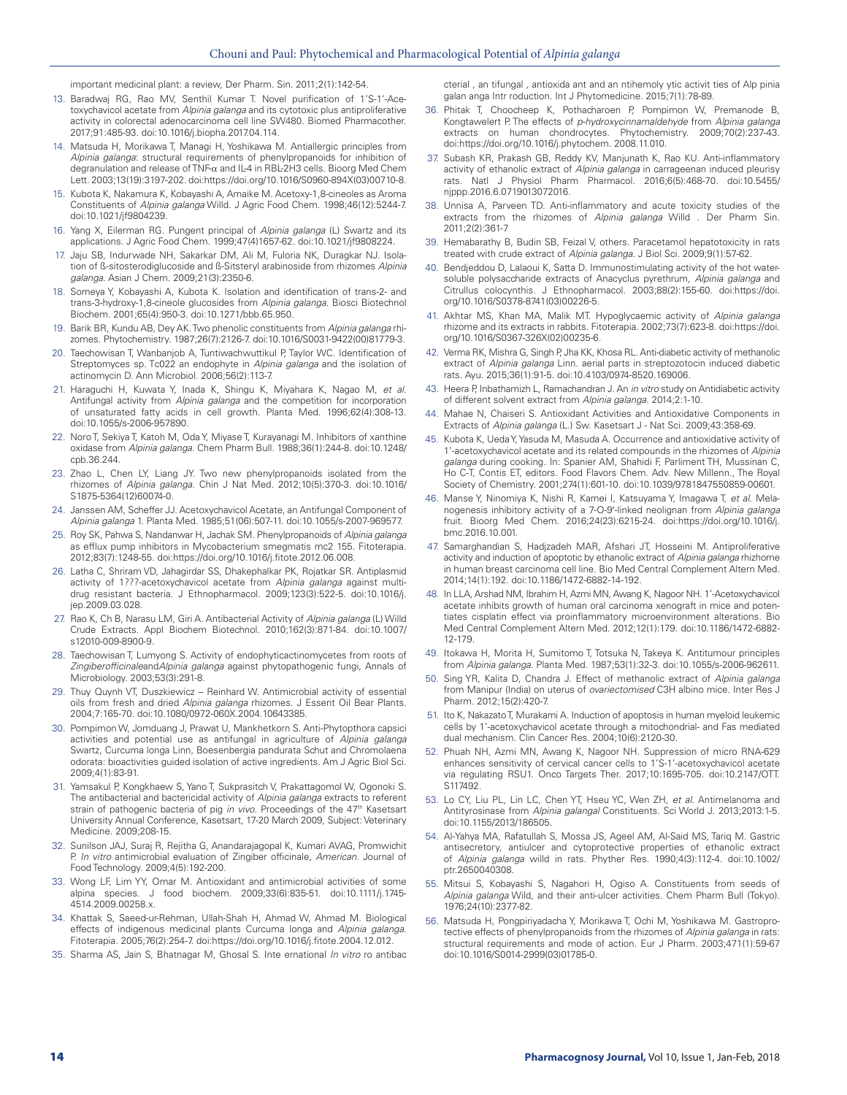important medicinal plant: a review, Der Pharm. Sin. 2011;2(1):142-54.

- 13. Baradwaj RG, Rao MV, Senthil Kumar T. Novel purification of 1'S-1'-Acetoxychavicol acetate from *Alpinia galanga* and its cytotoxic plus antiproliferative activity in colorectal adenocarcinoma cell line SW480. Biomed Pharmacother. 2017;91:485-93. doi:10.1016/j.biopha.2017.04.114.
- 14. Matsuda H, Morikawa T, Managi H, Yoshikawa M. Antiallergic principles from *Alpinia galanga*: structural requirements of phenylpropanoids for inhibition of degranulation and release of TNF-α and IL-4 in RBL-2H3 cells. Bioorg Med Chem Lett. 2003;13(19):3197-202. doi:https://doi.org/10.1016/S0960-894X(03)00710-8.
- 15. Kubota K, Nakamura K, Kobayashi A, Amaike M. Acetoxy-1,8-cineoles as Aroma Constituents of *Alpinia galanga* Willd. J Agric Food Chem. 1998;46(12):5244-7. doi:10.1021/jf9804239.
- 16. Yang X, Eilerman RG. Pungent principal of *Alpinia galanga* (L) Swartz and its applications. J Agric Food Chem. 1999;47(4)1657-62. doi:10.1021/jf9808224.
- 17. Jaju SB, Indurwade NH, Sakarkar DM, Ali M, Fuloria NK, Duragkar NJ. Isolation of ß-sitosterodiglucoside and ß-Sitsteryl arabinoside from rhizomes *Alpinia galanga*. Asian J Chem. 2009;21(3):2350-6.
- 18. Someya Y, Kobayashi A, Kubota K. Isolation and identification of trans-2- and trans-3-hydroxy-1,8-cineole glucosides from *Alpinia galanga*. Biosci Biotechnol Biochem. 2001;65(4):950-3. doi:10.1271/bbb.65.950.
- 19. Barik BR, Kundu AB, Dey AK. Two phenolic constituents from *Alpinia galanga* rhizomes. Phytochemistry. 1987;26(7):2126-7. doi:10.1016/S0031-9422(00)81779-3.
- 20. Taechowisan T, Wanbanjob A, Tuntiwachwuttikul P, Taylor WC. Identification of Streptomyces sp. Tc022 an endophyte in *Alpinia galanga* and the isolation of actinomycin D. Ann Microbiol. 2006;56(2):113-7.
- 21. Haraguchi H, Kuwata Y, Inada K, Shingu K, Miyahara K, Nagao M, *et al*. Antifungal activity from *Alpinia galanga* and the competition for incorporation of unsaturated fatty acids in cell growth. Planta Med. 1996;62(4):308-13. doi:10.1055/s-2006-957890.
- 22. Noro T, Sekiya T, Katoh M, Oda Y, Miyase T, Kurayanagi M. Inhibitors of xanthine oxidase from *Alpinia galanga*. Chem Pharm Bull. 1988;36(1):244-8. doi:10.1248/ cpb.36.244.
- 23. Zhao L, Chen LY, Liang JY. Two new phenylpropanoids isolated from the rhizomes of *Alpinia galanga*. Chin J Nat Med. 2012;10(5):370-3. doi:10.1016/ S1875-5364(12)60074-0.
- Janssen AM, Scheffer JJ. Acetoxychavicol Acetate, an Antifungal Component of *Alpinia galanga* 1. Planta Med. 1985;51(06):507-11. doi:10.1055/s-2007-969577.
- 25. Roy SK, Pahwa S, Nandanwar H, Jachak SM. Phenylpropanoids of *Alpinia galanga* as efflux pump inhibitors in Mycobacterium smegmatis mc2 155. Fitoterapia. 2012;83(7):1248-55. doi:https://doi.org/10.1016/j.fitote.2012.06.008.
- 26. Latha C, Shriram VD, Jahagirdar SS, Dhakephalkar PK, Rojatkar SR. Antiplasmid activity of 1???-acetoxychavicol acetate from *Alpinia galanga* against multidrug resistant bacteria. J Ethnopharmacol. 2009;123(3):522-5. doi:10.1016/j. jep.2009.03.028.
- 27. Rao K, Ch B, Narasu LM, Giri A. Antibacterial Activity of *Alpinia galanga* (L) Willd Crude Extracts. Appl Biochem Biotechnol. 2010;162(3):871-84. doi:10.1007/ s12010-009-8900-9.
- 28. Taechowisan T, Lumyong S. Activity of endophyticactinomycetes from roots of *Zingiberofficinale*and*Alpinia galanga* against phytopathogenic fungi, Annals of Microbiology. 2003;53(3):291-8.
- 29. Thuy Quynh VT, Duszkiewicz Reinhard W. Antimicrobial activity of essential oils from fresh and dried *Alpinia galanga* rhizomes. J Essent Oil Bear Plants. 2004;7:165-70. doi:10.1080/0972-060X.2004.10643385.
- 30. Pompimon W, Jomduang J, Prawat U, Mankhetkorn S. Anti-Phytopthora capsici activities and potential use as antifungal in agriculture of *Alpinia galanga* Swartz, Curcuma longa Linn, Boesenbergia pandurata Schut and Chromolaena odorata: bioactivities guided isolation of active ingredients. Am J Agric Biol Sci. 2009;4(1):83-91.
- 31. Yamsakul P, Kongkhaew S, Yano T, Sukprasitch V, Prakattagomol W, Ogonoki S. The antibacterial and bactericidal activity of *Alpinia galanga* extracts to referent strain of pathogenic bacteria of pig *in vivo*. Proceedings of the 47<sup>th</sup> Kasetsart University Annual Conference, Kasetsart, 17-20 March 2009, Subject: Veterinary Medicine. 2009;208-15.
- 32. Sunilson JAJ, Suraj R, Rejitha G, Anandarajagopal K, Kumari AVAG, Promwichit P. *In vitro* antimicrobial evaluation of Zingiber officinale, *American.* Journal of Food Technology. 2009;4(5):192-200.
- 33. Wong LF, Lim YY, Omar M. Antioxidant and antimicrobial activities of some alpina species. J food biochem. 2009;33(6):835-51. doi:10.1111/j.1745- 4514.2009.00258.x.
- 34. Khattak S, Saeed-ur-Rehman, Ullah-Shah H, Ahmad W, Ahmad M. Biological effects of indigenous medicinal plants Curcuma longa and *Alpinia galanga*. Fitoterapia. 2005;76(2):254-7. doi:https://doi.org/10.1016/j.fitote.2004.12.012.
- 35. Sharma AS, Jain S, Bhatnagar M, Ghosal S. Inte ernational *In vitro* ro antibac

cterial , an tifungal , antioxida ant and an ntihemoly ytic activit ties of Alp pinia galan anga Intr roduction. Int J Phytomedicine. 2015;7(1):78-89.

- 36. Phitak T, Choocheep K, Pothacharoen P, Pompimon W, Premanode B, Kongtawelert P. The effects of *p-hydroxycinnamaldehyde* from *Alpinia galanga* extracts on human chondrocytes. Phytochemistry. 2009;70(2):237-43. doi:https://doi.org/10.1016/j.phytochem. 2008.11.010.
- 37. Subash KR, Prakash GB, Reddy KV, Manjunath K, Rao KU. Anti-inflammatory activity of ethanolic extract of *Alpinia galanga* in carrageenan induced pleurisy rats. Natl J Physiol Pharm Pharmacol. 2016;6(5):468-70. doi:10.5455/ njppp.2016.6.0719013072016.
- 38. Unnisa A, Parveen TD. Anti-inflammatory and acute toxicity studies of the extracts from the rhizomes of *Alpinia galanga* Willd . Der Pharm Sin. 2011;2(2):361-7
- 39. Hemabarathy B, Budin SB, Feizal V, others. Paracetamol hepatotoxicity in rats treated with crude extract of *Alpinia galanga*. J Biol Sci. 2009;9(1):57-62.
- 40. Bendjeddou D, Lalaoui K, Satta D. Immunostimulating activity of the hot watersoluble polysaccharide extracts of Anacyclus pyrethrum, *Alpinia galanga* and Citrullus colocynthis. J Ethnopharmacol. 2003;88(2):155-60. doi:https://doi. org/10.1016/S0378-8741(03)00226-5.
- 41. Akhtar MS, Khan MA, Malik MT. Hypoglycaemic activity of *Alpinia galanga* rhizome and its extracts in rabbits. Fitoterapia. 2002;73(7):623-8. doi:https://doi. org/10.1016/S0367-326X(02)00235-6.
- 42. Verma RK, Mishra G, Singh P, Jha KK, Khosa RL. Anti-diabetic activity of methanolic extract of *Alpinia galanga* Linn. aerial parts in streptozotocin induced diabetic rats. Ayu. 2015;36(1):91-5. doi:10.4103/0974-8520.169006.
- 43. Heera P, Inbathamizh L, Ramachandran J. An *in vitro* study on Antidiabetic activity of different solvent extract from *Alpinia galanga*. 2014;2:1-10.
- 44. Mahae N, Chaiseri S. Antioxidant Activities and Antioxidative Components in Extracts of *Alpinia galanga* (L.) Sw. Kasetsart J - Nat Sci. 2009;43:358-69.
- 45. Kubota K, Ueda Y, Yasuda M, Masuda A. Occurrence and antioxidative activity of 1'-acetoxychavicol acetate and its related compounds in the rhizomes of *Alpinia galanga* during cooking. In: Spanier AM, Shahidi F, Parliment TH, Mussinan C, Ho C-T, Contis ET, editors. Food Flavors Chem. Adv. New Millenn., The Royal Society of Chemistry. 2001;274(1):601-10. doi:10.1039/9781847550859-00601.
- 46. Manse Y, Ninomiya K, Nishi R, Kamei I, Katsuyama Y, Imagawa T, *et al*. Melanogenesis inhibitory activity of a 7-O-9′-linked neolignan from *Alpinia galanga* fruit. Bioorg Med Chem. 2016;24(23):6215-24. doi:https://doi.org/10.1016/j. bmc.2016.10.001.
- 47. Samarghandian S, Hadjzadeh MAR, Afshari JT, Hosseini M. Antiproliferative activity and induction of apoptotic by ethanolic extract of *Alpinia galanga* rhizhome in human breast carcinoma cell line. Bio Med Central Complement Altern Med. 2014;14(1):192. doi:10.1186/1472-6882-14-192.
- 48. In LLA, Arshad NM, Ibrahim H, Azmi MN, Awang K, Nagoor NH. 1'-Acetoxychavicol acetate inhibits growth of human oral carcinoma xenograft in mice and potentiates cisplatin effect via proinflammatory microenvironment alterations. Bio Med Central Complement Altern Med. 2012;12(1):179. doi:10.1186/1472-6882- 12-179.
- 49. Itokawa H, Morita H, Sumitomo T, Totsuka N, Takeya K. Antitumour principles from *Alpinia galanga*. Planta Med. 1987;53(1):32-3. doi:10.1055/s-2006-962611.
- 50. Sing YR, Kalita D, Chandra J. Effect of methanolic extract of *Alpinia galanga* from Manipur (India) on uterus of *ovariectomised* C3H albino mice. Inter Res J Pharm. 2012;15(2):420-7.
- 51. Ito K, Nakazato T, Murakami A. Induction of apoptosis in human myeloid leukemic cells by 1'-acetoxychavicol acetate through a mitochondrial- and Fas mediated dual mechanism. Clin Cancer Res. 2004;10(6):2120-30.
- 52. Phuah NH, Azmi MN, Awang K, Nagoor NH. Suppression of micro RNA-629 enhances sensitivity of cervical cancer cells to 1'S-1'-acetoxychavicol acetate via regulating RSU1. Onco Targets Ther. 2017;10:1695-705. doi:10.2147/OTT. S117492.
- 53. Lo CY, Liu PL, Lin LC, Chen YT, Hseu YC, Wen ZH, *et al*. Antimelanoma and Antityrosinase from *Alpinia galangal* Constituents. Sci World J. 2013;2013:1-5. doi:10.1155/2013/186505.
- 54. Al-Yahya MA, Rafatullah S, Mossa JS, Ageel AM, Al‐Said MS, Tariq M. Gastric antisecretory, antiulcer and cytoprotective properties of ethanolic extract of *Alpinia galanga* willd in rats. Phyther Res. 1990;4(3):112-4. doi:10.1002/ ptr.2650040308.
- 55. Mitsui S, Kobayashi S, Nagahori H, Ogiso A. Constituents from seeds of *Alpinia galanga* Wild, and their anti-ulcer activities. Chem Pharm Bull (Tokyo). 1976;24(10):2377-82.
- 56. Matsuda H, Pongpiriyadacha Y, Morikawa T, Ochi M, Yoshikawa M. Gastroprotective effects of phenylpropanoids from the rhizomes of *Alpinia galanga* in rats: structural requirements and mode of action. Eur J Pharm. 2003;471(1):59-67 doi:10.1016/S0014-2999(03)01785-0.